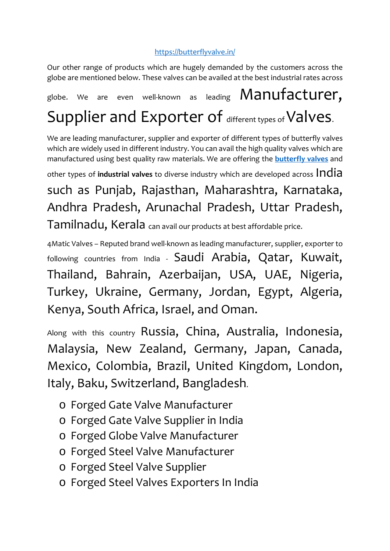## <https://butterflyvalve.in/>

Our other range of products which are hugely demanded by the customers across the globe are mentioned below. These valves can be availed at the best industrial rates across

globe. We are even well-known as leading **Manufacturer**. Supplier and Exporter of different types of Valves.

We are leading manufacturer, supplier and exporter of different types of butterfly valves which are widely used in different industry. You can avail the high quality valves which are manufactured using best quality raw materials. We are offering the **[butterfly valves](https://butterflyvalve.in/)** and

other types of **industrial valves** to diverse industry which are developed across India

such as Punjab, Rajasthan, Maharashtra, Karnataka, Andhra Pradesh, Arunachal Pradesh, Uttar Pradesh, Tamilnadu, Kerala can avail our products at best affordable price.

4Matic Valves – Reputed brand well-known as leading manufacturer, supplier, exporter to following countries from India - Saudi Arabia, Qatar, Kuwait, Thailand, Bahrain, Azerbaijan, USA, UAE, Nigeria, Turkey, Ukraine, Germany, Jordan, Egypt, Algeria, Kenya, South Africa, Israel, and Oman.

Along with this country Russia, China, Australia, Indonesia, Malaysia, New Zealand, Germany, Japan, Canada, Mexico, Colombia, Brazil, United Kingdom, London, Italy, Baku, Switzerland, Bangladesh.

- o Forged Gate Valve Manufacturer
- o Forged Gate Valve Supplier in India
- o Forged Globe Valve Manufacturer
- o Forged Steel Valve Manufacturer
- o Forged Steel Valve Supplier
- o Forged Steel Valves Exporters In India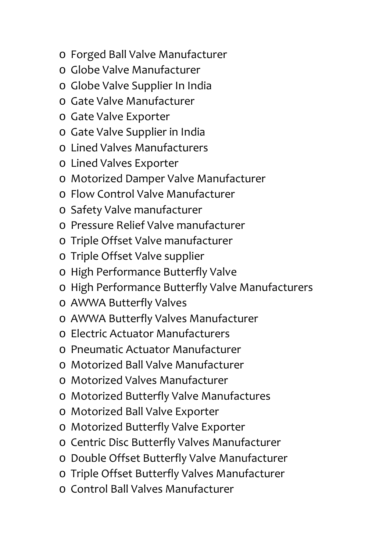- o Forged Ball Valve Manufacturer
- o Globe Valve Manufacturer
- o Globe Valve Supplier In India
- o Gate Valve Manufacturer
- o Gate Valve Exporter
- o Gate Valve Supplier in India
- o Lined Valves Manufacturers
- o Lined Valves Exporter
- o Motorized Damper Valve Manufacturer
- o Flow Control Valve Manufacturer
- o Safety Valve manufacturer
- o Pressure Relief Valve manufacturer
- o Triple Offset Valve manufacturer
- o Triple Offset Valve supplier
- o High Performance Butterfly Valve
- o High Performance Butterfly Valve Manufacturers
- o AWWA Butterfly Valves
- o AWWA Butterfly Valves Manufacturer
- o Electric Actuator Manufacturers
- o Pneumatic Actuator Manufacturer
- o Motorized Ball Valve Manufacturer
- o Motorized Valves Manufacturer
- o Motorized Butterfly Valve Manufactures
- o Motorized Ball Valve Exporter
- o Motorized Butterfly Valve Exporter
- o Centric Disc Butterfly Valves Manufacturer
- o Double Offset Butterfly Valve Manufacturer
- o Triple Offset Butterfly Valves Manufacturer
- o Control Ball Valves Manufacturer